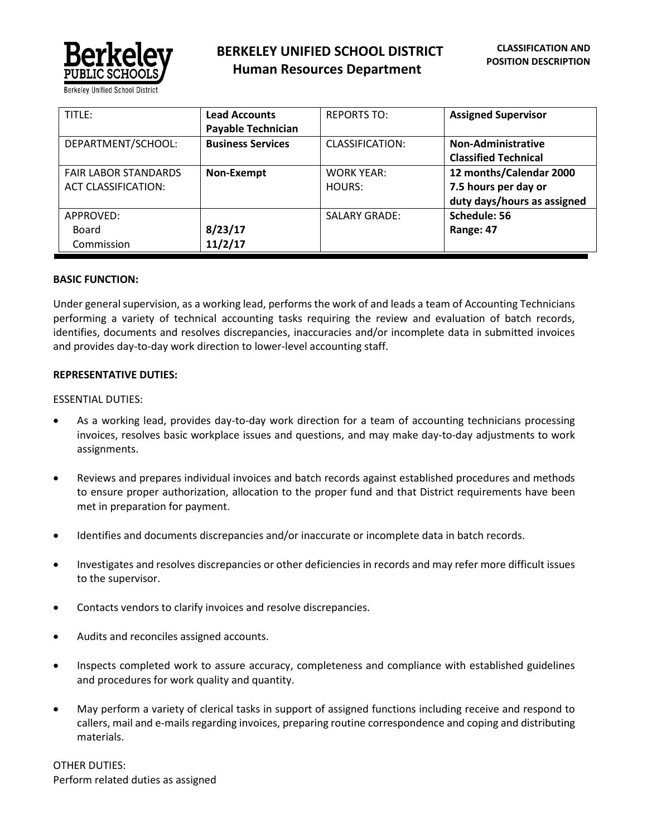

| TITLE:                      | <b>Lead Accounts</b>      | <b>REPORTS TO:</b>   | <b>Assigned Supervisor</b>  |
|-----------------------------|---------------------------|----------------------|-----------------------------|
|                             | <b>Payable Technician</b> |                      |                             |
| DEPARTMENT/SCHOOL:          | <b>Business Services</b>  | CLASSIFICATION:      | Non-Administrative          |
|                             |                           |                      | <b>Classified Technical</b> |
| <b>FAIR LABOR STANDARDS</b> | Non-Exempt                | <b>WORK YEAR:</b>    | 12 months/Calendar 2000     |
| <b>ACT CLASSIFICATION:</b>  |                           | HOURS:               | 7.5 hours per day or        |
|                             |                           |                      | duty days/hours as assigned |
| APPROVED:                   |                           | <b>SALARY GRADE:</b> | Schedule: 56                |
| <b>Board</b>                | 8/23/17                   |                      | Range: 47                   |
| Commission                  | 11/2/17                   |                      |                             |

## **BASIC FUNCTION:**

Under general supervision, as a working lead, performs the work of and leads a team of Accounting Technicians performing a variety of technical accounting tasks requiring the review and evaluation of batch records, identifies, documents and resolves discrepancies, inaccuracies and/or incomplete data in submitted invoices and provides day-to-day work direction to lower-level accounting staff.

## **REPRESENTATIVE DUTIES:**

## ESSENTIAL DUTIES:

- As a working lead, provides day-to-day work direction for a team of accounting technicians processing invoices, resolves basic workplace issues and questions, and may make day-to-day adjustments to work assignments.
- Reviews and prepares individual invoices and batch records against established procedures and methods to ensure proper authorization, allocation to the proper fund and that District requirements have been met in preparation for payment.
- Identifies and documents discrepancies and/or inaccurate or incomplete data in batch records.
- Investigates and resolves discrepancies or other deficiencies in records and may refer more difficult issues to the supervisor.
- Contacts vendors to clarify invoices and resolve discrepancies.
- Audits and reconciles assigned accounts.
- Inspects completed work to assure accuracy, completeness and compliance with established guidelines and procedures for work quality and quantity.
- May perform a variety of clerical tasks in support of assigned functions including receive and respond to callers, mail and e-mails regarding invoices, preparing routine correspondence and coping and distributing materials.

OTHER DUTIES: Perform related duties as assigned